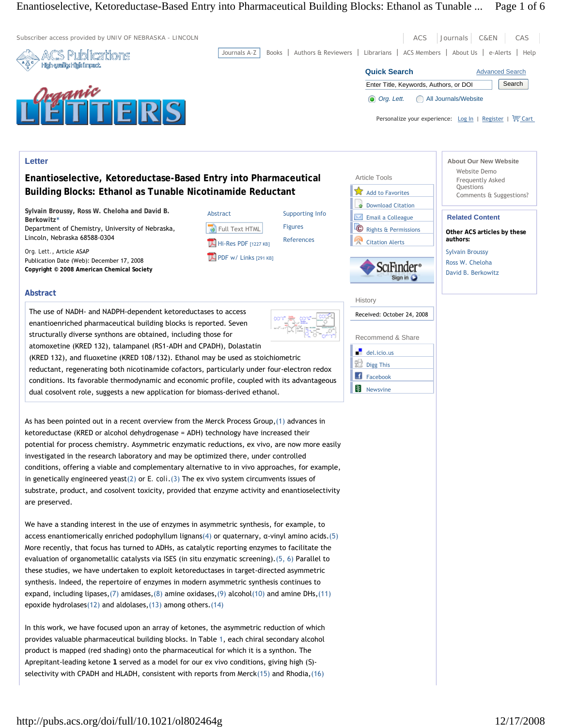# Enantioselective, Ketoreductase-Based Entry into Pharmaceutical Building Blocks: Ethanol as Tunable ... Page 1 of 6

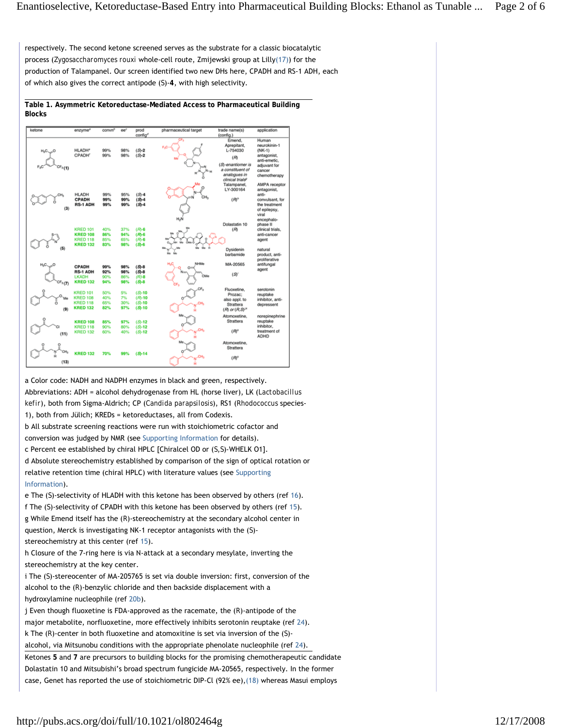respectively. The second ketone screened serves as the substrate for a classic biocatalytic process (*Zygosaccharomyces rouxi* whole-cell route, Zmijewski group at Lilly(17)) for the production of Talampanel. Our screen identified two new DHs here, CPADH and RS-1 ADH, each of which also gives the correct antipode (*S*)-**4**, with high selectivity.

**Table 1. Asymmetric Ketoreductase-Mediated Access to Pharmaceutical Building Blocks** 



a Color code: NADH and NADPH enzymes in black and green, respectively. Abbreviations: ADH = alcohol dehydrogenase from HL (horse liver), LK (*Lactobacillus kefir*), both from Sigma-Aldrich; CP (*Candida parapsilosis*), RS1 (*Rhodococcus* species-1), both from Jülich; KREDs = ketoreductases, all from Codexis. b All substrate screening reactions were run with stoichiometric cofactor and conversion was judged by NMR (see Supporting Information for details). c Percent ee established by chiral HPLC [Chiralcel OD or (*S*,*S*)*-*WHELK O1]. d Absolute stereochemistry established by comparison of the sign of optical rotation or relative retention time (chiral HPLC) with literature values (see Supporting Information).

e The (*S*)-selectivity of HLADH with this ketone has been observed by others (ref 16). f The (*S*)-selectivity of CPADH with this ketone has been observed by others (ref 15). g While Emend itself has the (*R*)-stereochemistry at the secondary alcohol center in question, Merck is investigating NK-1 receptor antagonists with the (*S*) stereochemistry at this center (ref 15).

h Closure of the 7-ring here is via N-attack at a secondary mesylate, inverting the stereochemistry at the key center.

i The (*S*)-stereocenter of MA-205765 is set via double inversion: first, conversion of the alcohol to the (*R*)-benzylic chloride and then backside displacement with a hydroxylamine nucleophile (ref 20b).

j Even though fluoxetine is FDA-approved as the racemate, the (*R*)-antipode of the major metabolite, norfluoxetine, more effectively inhibits serotonin reuptake (ref 24). k The (*R*)-center in both fluoxetine and atomoxitine is set via inversion of the (*S*)-

alcohol, via Mitsunobu conditions with the appropriate phenolate nucleophile (ref 24).

Ketones **5** and **7** are precursors to building blocks for the promising chemotherapeutic candidate Dolastatin 10 and Mitsubishi's broad spectrum fungicide MA-20565, respectively. In the former case, Genet has reported the use of stoichiometric DIP-Cl (92% ee),(18) whereas Masui employs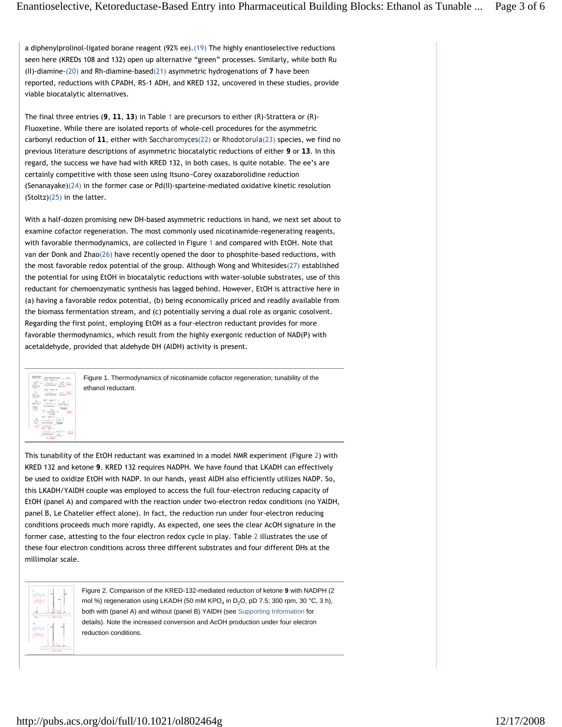a diphenylprolinol-ligated borane reagent (92% ee).(19) The highly enantioselective reductions seen here (KREDs 108 and 132) open up alternative "green" processes. Similarly, while both Ru (II)-diamine-(20) and Rh-diamine-based(21) asymmetric hydrogenations of **7** have been reported, reductions with CPADH, RS-1 ADH, and KRED 132, uncovered in these studies, provide viable biocatalytic alternatives.

The final three entries (**9**, **11**, **13**) in Table 1 are precursors to either (*R*)-Strattera or (*R*)- Fluoxetine. While there are isolated reports of whole-cell procedures for the asymmetric carbonyl reduction of **11**, either with *Saccharomyces*(22) or *Rhodotorula*(23) species, we find no previous literature descriptions of asymmetric biocatalytic reductions of either **9** or **13**. In this regard, the success we have had with KRED 132, in both cases, is quite notable. The ee's are certainly competitive with those seen using Itsuno−Corey oxazaborolidine reduction (Senanayake)(24) in the former case or Pd(II)-sparteine-mediated oxidative kinetic resolution (Stoltz)(25) in the latter.

With a half-dozen promising new DH-based asymmetric reductions in hand, we next set about to examine cofactor regeneration. The most commonly used nicotinamide-regenerating reagents, with favorable thermodynamics, are collected in Figure 1 and compared with EtOH. Note that van der Donk and Zhao(26) have recently opened the door to phosphite-based reductions, with the most favorable redox potential of the group. Although Wong and Whitesides(27) established the potential for using EtOH in biocatalytic reductions with water-soluble substrates, use of this reductant for chemoenzymatic synthesis has lagged behind. However, EtOH is attractive here in (a) having a favorable redox potential, (b) being economically priced and readily available from the biomass fermentation stream, and (c) potentially serving a dual role as organic cosolvent. Regarding the first point, employing EtOH as a four-electron reductant provides for more favorable thermodynamics, which result from the highly exergonic reduction of NAD(P) with acetaldehyde, provided that aldehyde DH (AlDH) activity is present.



Figure 1. Thermodynamics of nicotinamide cofactor regeneration; tunability of the ethanol reductant.

This tunability of the EtOH reductant was examined in a model NMR experiment (Figure 2) with KRED 132 and ketone **9**. KRED 132 requires NADPH. We have found that LKADH can effectively be used to oxidize EtOH with NADP. In our hands, yeast AlDH also efficiently utilizes NADP. So, this LKADH/YAlDH couple was employed to access the full four-electron reducing capacity of EtOH (panel A) and compared with the reaction under two-electron redox conditions (no YAlDH, panel B, Le Chatelier effect alone). In fact, the reduction run under four-electron reducing conditions proceeds much more rapidly. As expected, one sees the clear AcOH signature in the former case, attesting to the four electron redox cycle in play. Table 2 illustrates the use of these four electron conditions across three different substrates and four different DHs at the millimolar scale.



Figure 2. Comparison of the KRED-132-mediated reduction of ketone **9** with NADPH (2 mol %) regeneration using LKADH (50 mM KPO<sub>4</sub> in D<sub>2</sub>O, pD 7.5; 300 rpm, 30 °C, 3 h), both with (panel A) and without (panel B) YAlDH (see Supporting Information for details). Note the increased conversion and AcOH production under four electron reduction conditions.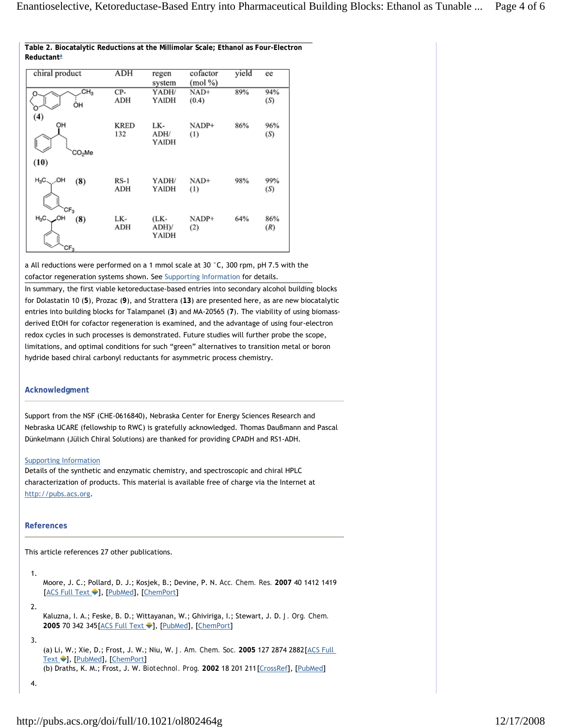|                           | ADH         |         |            |       |     |
|---------------------------|-------------|---------|------------|-------|-----|
| chiral product            |             | regen   | cofactor   | yield | ee  |
|                           |             | system  | $(mod \%)$ |       |     |
| CH <sub>3</sub>           | CP-         | YADH/   | $NAD+$     | 89%   | 94% |
| ÒН                        | ADH         | YAIDH   | (0.4)      |       | (S) |
|                           |             |         |            |       |     |
| (4)                       |             |         |            |       |     |
| OH                        | <b>KRED</b> | LK-     | NADP+      | 86%   | 96% |
|                           | 132         | ADH/    | (1)        |       | (S) |
|                           |             | YAIDH   |            |       |     |
| CO <sub>2</sub> Me        |             |         |            |       |     |
|                           |             |         |            |       |     |
| (10)                      |             |         |            |       |     |
|                           |             |         |            |       |     |
| $H_3C_{\sim}$ , OH<br>(8) | RS-1        | YADH/   | $NAD+$     | 98%   | 99% |
|                           | ADH         | YAIDH   | (1)        |       | (S) |
|                           |             |         |            |       |     |
| $CF_3$                    |             |         |            |       |     |
| $H_3C$<br>HO.             | LK-         | (LK-    | NADP+      | 64%   | 86% |
| (8)                       | ADH         | $ADH$ ) |            |       |     |
|                           |             | YAIDH   | (2)        |       | (R) |
|                           |             |         |            |       |     |
| $CF_3$                    |             |         |            |       |     |

## **Table 2. Biocatalytic Reductions at the Millimolar Scale; Ethanol as Four-Electron Reductanta**

a All reductions were performed on a 1 mmol scale at 30 °C, 300 rpm, pH 7.5 with the cofactor regeneration systems shown. See Supporting Information for details.

In summary, the first viable ketoreductase-based entries into secondary alcohol building blocks for Dolastatin 10 (**5**), Prozac (**9**), and Strattera (**13**) are presented here, as are new biocatalytic entries into building blocks for Talampanel (**3**) and MA-20565 (**7**). The viability of using biomassderived EtOH for cofactor regeneration is examined, and the advantage of using four-electron redox cycles in such processes is demonstrated. Future studies will further probe the scope, limitations, and optimal conditions for such "green" alternatives to transition metal or boron hydride based chiral carbonyl reductants for asymmetric process chemistry.

## **Acknowledgment**

Support from the NSF (CHE-0616840), Nebraska Center for Energy Sciences Research and Nebraska UCARE (fellowship to RWC) is gratefully acknowledged. Thomas Dauβmann and Pascal Dünkelmann (Jülich Chiral Solutions) are thanked for providing CPADH and RS1-ADH.

### Supporting Information

Details of the synthetic and enzymatic chemistry, and spectroscopic and chiral HPLC characterization of products. This material is available free of charge via the Internet at http://pubs.acs.org.

### **References**

This article references 27 other publications.

Moore, J. C.; Pollard, D. J.; Kosjek, B.; Devine, P. N. *Acc. Chem. Res.* **2007** 40 1412 1419 [ACS Full Text •], [PubMed], [ChemPort] 1.

2.

Kaluzna, I. A.; Feske, B. D.; Wittayanan, W.; Ghiviriga, I.; Stewart, J. D. *J. Org. Chem.* 2005 70 342 345 [ACS Full Text <sup>1</sup>], [PubMed], [ChemPort]

#### 3.

(a) Li, W.; Xie, D.; Frost, J. W.; Niu, W. J. Am. Chem. Soc. 2005 127 2874 2882 [ACS Full Text ♥], [PubMed], [ChemPort] (b) Draths, K. M.; Frost, J. W. *Biotechnol. Prog.* **2002** 18 201 211[CrossRef], [PubMed]

```
4.
```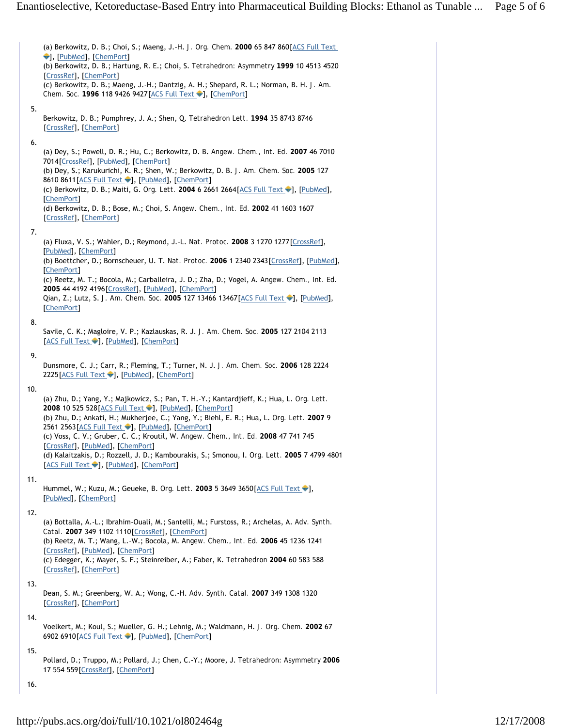(a) Berkowitz, D. B.; Choi, S.; Maeng, J.-H. *J. Org. Chem.* **2000** 65 847 860[ACS Full Text ], [PubMed], [ChemPort] (b) Berkowitz, D. B.; Hartung, R. E.; Choi, S. *Tetrahedron: Asymmetry* **1999** 10 4513 4520 [CrossRef], [ChemPort] (c) Berkowitz, D. B.; Maeng, J.-H.; Dantzig, A. H.; Shepard, R. L.; Norman, B. H. *J. Am. Chem. Soc.* 1996 118 9426 9427 [ACS Full Text ♦], [ChemPort] Berkowitz, D. B.; Pumphrey, J. A.; Shen, Q. *Tetrahedron Lett.* **1994** 35 8743 8746 [CrossRef], [ChemPort] (a) Dey, S.; Powell, D. R.; Hu, C.; Berkowitz, D. B. *Angew. Chem., Int. Ed.* **2007** 46 7010 7014[CrossRef], [PubMed], [ChemPort] (b) Dey, S.; Karukurichi, K. R.; Shen, W.; Berkowitz, D. B. *J. Am. Chem. Soc.* **2005** 127 8610 8611 [ACS Full Text •], [PubMed], [ChemPort] (c) Berkowitz, D. B.; Maiti, G. *Org. Lett.* 2004 6 2661 2664 [ACS Full Text <sup>1</sup>], [PubMed], [ChemPort] (d) Berkowitz, D. B.; Bose, M.; Choi, S. *Angew. Chem., Int. Ed.* **2002** 41 1603 1607 [CrossRef], [ChemPort] (a) Fluxa, V. S.; Wahler, D.; Reymond, J.-L. *Nat. Protoc.* **2008** 3 1270 1277[CrossRef], [PubMed], [ChemPort] (b) Boettcher, D.; Bornscheuer, U. T. *Nat. Protoc.* **2006** 1 2340 2343[CrossRef], [PubMed], [ChemPort] (c) Reetz, M. T.; Bocola, M.; Carballeira, J. D.; Zha, D.; Vogel, A. *Angew. Chem., Int. Ed.* **2005** 44 4192 4196[CrossRef], [PubMed], [ChemPort] Qian, Z.; Lutz, S. *J. Am. Chem. Soc.* 2005 127 13466 13467 [ACS Full Text <sup>1</sup>], [PubMed], [ChemPort] Savile, C. K.; Magloire, V. P.; Kazlauskas, R. J. *J. Am. Chem. Soc.* **2005** 127 2104 2113 [ACS Full Text •], [PubMed], [ChemPort] Dunsmore, C. J.; Carr, R.; Fleming, T.; Turner, N. J. *J. Am. Chem. Soc.* **2006** 128 2224 2225 [ACS Full Text •], [PubMed], [ChemPort] (a) Zhu, D.; Yang, Y.; Majkowicz, S.; Pan, T. H.-Y.; Kantardjieff, K.; Hua, L. *Org. Lett.* 2008 10 525 528 [ACS Full Text | ], [PubMed], [ChemPort] (b) Zhu, D.; Ankati, H.; Mukherjee, C.; Yang, Y.; Biehl, E. R.; Hua, L. *Org. Lett.* **2007** 9 2561 2563 [ACS Full Text |], [PubMed], [ChemPort] (c) Voss, C. V.; Gruber, C. C.; Kroutil, W. *Angew. Chem., Int. Ed.* **2008** 47 741 745 [CrossRef], [PubMed], [ChemPort] (d) Kalaitzakis, D.; Rozzell, J. D.; Kambourakis, S.; Smonou, I. *Org. Lett.* **2005** 7 4799 4801 [ACS Full Text •], [PubMed], [ChemPort] Hummel, W.; Kuzu, M.; Geueke, B. *Org. Lett.* 2003 5 3649 3650 [ACS Full Text ♦], [PubMed], [ChemPort] (a) Bottalla, A.-L.; Ibrahim-Ouali, M.; Santelli, M.; Furstoss, R.; Archelas, A. *Adv. Synth. Catal.* **2007** 349 1102 1110[CrossRef], [ChemPort] (b) Reetz, M. T.; Wang, L.-W.; Bocola, M. *Angew. Chem., Int. Ed.* **2006** 45 1236 1241 [CrossRef], [PubMed], [ChemPort] (c) Edegger, K.; Mayer, S. F.; Steinreiber, A.; Faber, K. *Tetrahedron* **2004** 60 583 588 [CrossRef], [ChemPort] Dean, S. M.; Greenberg, W. A.; Wong, C.-H. *Adv. Synth. Catal.* **2007** 349 1308 1320 [CrossRef], [ChemPort] Voelkert, M.; Koul, S.; Mueller, G. H.; Lehnig, M.; Waldmann, H. *J. Org. Chem.* **2002** 67 6902 6910 [ACS Full Text •], [PubMed], [ChemPort] Pollard, D.; Truppo, M.; Pollard, J.; Chen, C.-Y.; Moore, J. *Tetrahedron: Asymmetry* **2006** 17 554 559[CrossRef], [ChemPort] 5. 6. 7. 8. 9. 10. 11. 12. 13. 14. 15.

16.